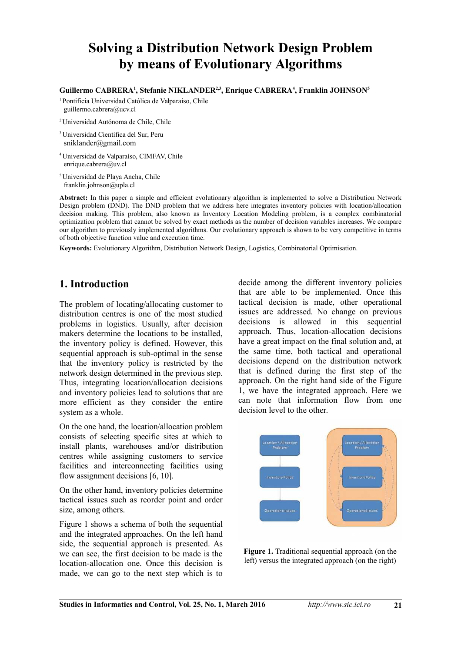# **Solving a Distribution Network Design Problem by means of Evolutionary Algorithms**

#### **Guillermo CABRERA<sup>1</sup> , Stefanie NIKLANDER2,3, Enrique CABRERA<sup>4</sup> , Franklin JOHNSON<sup>5</sup>**

<sup>1</sup>Pontificia Universidad Católica de Valparaíso, Chile guillermo.cabrera@ucv.cl

- <sup>2</sup>Universidad Autónoma de Chile, Chile
- <sup>3</sup>Universidad Científica del Sur, Peru sniklander@gmail.com
- <sup>4</sup>Universidad de Valparaíso, CIMFAV, Chile enrique.cabrera@uv.cl
- <sup>5</sup>Universidad de Playa Ancha, Chile franklin.johnson@upla.cl

**Abstract:** In this paper a simple and efficient evolutionary algorithm is implemented to solve a Distribution Network Design problem (DND). The DND problem that we address here integrates inventory policies with location/allocation decision making. This problem, also known as Inventory Location Modeling problem, is a complex combinatorial optimization problem that cannot be solved by exact methods as the number of decision variables increases. We compare our algorithm to previously implemented algorithms. Our evolutionary approach is shown to be very competitive in terms of both objective function value and execution time.

**Keywords:** Evolutionary Algorithm, Distribution Network Design, Logistics, Combinatorial Optimisation.

### **1. Introduction**

The problem of locating/allocating customer to distribution centres is one of the most studied problems in logistics. Usually, after decision makers determine the locations to be installed, the inventory policy is defined. However, this sequential approach is sub-optimal in the sense that the inventory policy is restricted by the network design determined in the previous step. Thus, integrating location/allocation decisions and inventory policies lead to solutions that are more efficient as they consider the entire system as a whole.

On the one hand, the location/allocation problem consists of selecting specific sites at which to install plants, warehouses and/or distribution centres while assigning customers to service facilities and interconnecting facilities using flow assignment decisions [6, 10].

On the other hand, inventory policies determine tactical issues such as reorder point and order size, among others.

Figure 1 shows a schema of both the sequential and the integrated approaches. On the left hand side, the sequential approach is presented. As we can see, the first decision to be made is the location-allocation one. Once this decision is made, we can go to the next step which is to

decide among the different inventory policies that are able to be implemented. Once this tactical decision is made, other operational issues are addressed. No change on previous decisions is allowed in this sequential approach. Thus, location-allocation decisions have a great impact on the final solution and, at the same time, both tactical and operational decisions depend on the distribution network that is defined during the first step of the approach. On the right hand side of the Figure 1, we have the integrated approach. Here we can note that information flow from one decision level to the other.



**Figure 1.** Traditional sequential approach (on the left) versus the integrated approach (on the right)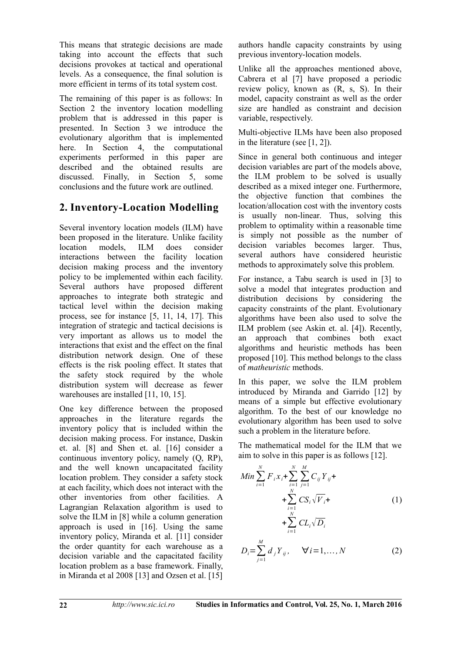This means that strategic decisions are made taking into account the effects that such decisions provokes at tactical and operational levels. As a consequence, the final solution is more efficient in terms of its total system cost.

The remaining of this paper is as follows: In Section 2 the inventory location modelling problem that is addressed in this paper is presented. In Section 3 we introduce the evolutionary algorithm that is implemented here. In Section 4, the computational experiments performed in this paper are described and the obtained results are discussed. Finally, in Section 5, some conclusions and the future work are outlined.

# **2. Inventory-Location Modelling**

Several inventory location models (ILM) have been proposed in the literature. Unlike facility location models, ILM does consider interactions between the facility location decision making process and the inventory policy to be implemented within each facility. Several authors have proposed different approaches to integrate both strategic and tactical level within the decision making process, see for instance [5, 11, 14, 17]. This integration of strategic and tactical decisions is very important as allows us to model the interactions that exist and the effect on the final distribution network design. One of these effects is the risk pooling effect. It states that the safety stock required by the whole distribution system will decrease as fewer warehouses are installed [11, 10, 15].

One key difference between the proposed approaches in the literature regards the inventory policy that is included within the decision making process. For instance, Daskin et. al. [8] and Shen et. al. [16] consider a continuous inventory policy, namely (Q, RP), and the well known uncapacitated facility location problem. They consider a safety stock at each facility, which does not interact with the other inventories from other facilities. A Lagrangian Relaxation algorithm is used to solve the ILM in [8] while a column generation approach is used in [16]. Using the same inventory policy, Miranda et al. [11] consider the order quantity for each warehouse as a decision variable and the capacitated facility location problem as a base framework. Finally, in Miranda et al 2008 [13] and Ozsen et al. [15]

authors handle capacity constraints by using previous inventory-location models.

Unlike all the approaches mentioned above, Cabrera et al [7] have proposed a periodic review policy, known as (R, s, S). In their model, capacity constraint as well as the order size are handled as constraint and decision variable, respectively.

Multi-objective ILMs have been also proposed in the literature (see [1, 2]).

Since in general both continuous and integer decision variables are part of the models above, the ILM problem to be solved is usually described as a mixed integer one. Furthermore, the objective function that combines the location/allocation cost with the inventory costs is usually non-linear. Thus, solving this problem to optimality within a reasonable time is simply not possible as the number of decision variables becomes larger. Thus, several authors have considered heuristic methods to approximately solve this problem.

For instance, a Tabu search is used in [3] to solve a model that integrates production and distribution decisions by considering the capacity constraints of the plant. Evolutionary algorithms have been also used to solve the ILM problem (see Askin et. al. [4]). Recently, an approach that combines both exact algorithms and heuristic methods has been proposed [10]. This method belongs to the class of *matheuristic* methods.

In this paper, we solve the ILM problem introduced by Miranda and Garrido [12] by means of a simple but effective evolutionary algorithm. To the best of our knowledge no evolutionary algorithm has been used to solve such a problem in the literature before.

The mathematical model for the ILM that we aim to solve in this paper is as follows [12].

$$
Min \sum_{i=1}^{N} F_{i} x_{i} + \sum_{i=1}^{N} \sum_{j=1}^{M} C_{ij} Y_{ij} +
$$
  
+ 
$$
\sum_{i=1}^{N} CS_{i} \sqrt{V_{i}} +
$$
  
+ 
$$
\sum_{i=1}^{N} CL_{i} \sqrt{D_{i}}
$$
 (1)

$$
D_i = \sum_{j=1}^{M} d_j Y_{ij}, \quad \forall i = 1, ..., N
$$
 (2)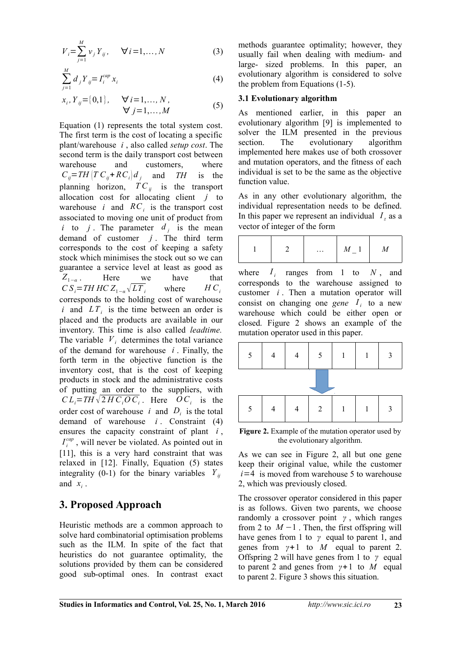$$
V_{i} = \sum_{j=1}^{M} v_{j} Y_{ij}, \quad \forall i = 1,..., N
$$
 (3)

$$
\sum_{j=1}^{M} d_j Y_{ij} = I_i^{cap} x_i
$$
 (4)

$$
x_i, Y_{ij} = \{0,1\}, \quad \forall i = 1,..., N,\n\forall j = 1,..., M
$$
 (5)

Equation (1) represents the total system cost. The first term is the cost of locating a specific plant/warehouse *i* , also called *setup cost*. The second term is the daily transport cost between warehouse and customers, where  $C_i = TH \left( T \, C_i + RC_i \right) d_i$  and *TH* is the planning horizon,  $TC_{ij}$  is the transport allocation cost for allocating client *j* to warehouse *i* and  $RC<sub>i</sub>$  is the transport cost associated to moving one unit of product from *i* to *j*. The parameter  $d_j$  is the mean demand of customer  $j$ . The third term corresponds to the cost of keeping a safety stock which minimises the stock out so we can guarantee a service level at least as good as *Z*<sub>1−*α*</sub>. . Here we have that  $CS_i = TH \, HC \, Z_{1-a} \sqrt{LT_i}$ where  $HC_i$ corresponds to the holding cost of warehouse *i* and  $LT_i$  is the time between an order is placed and the products are available in our inventory. This time is also called *leadtime.* The variable  $V_i$  determines the total variance of the demand for warehouse *i* . Finally, the forth term in the objective function is the inventory cost, that is the cost of keeping products in stock and the administrative costs of putting an order to the suppliers, with  $CL_i = TH \sqrt{2 H C_i O C_i}$ . Here  $OC_i$  is the order cost of warehouse *i* and  $D_i$  is the total demand of warehouse *i* . Constraint (4) ensures the capacity constraint of plant *i* ,  $I_i^{cap}$ , will never be violated. As pointed out in [11], this is a very hard constraint that was relaxed in [12]. Finally, Equation (5) states integrality (0-1) for the binary variables  $Y_{ii}$ and  $x_i$ .

#### **3. Proposed Approach**

Heuristic methods are a common approach to solve hard combinatorial optimisation problems such as the ILM. In spite of the fact that heuristics do not guarantee optimality, the solutions provided by them can be considered good sub-optimal ones. In contrast exact methods guarantee optimality; however, they usually fail when dealing with medium- and large- sized problems. In this paper, an evolutionary algorithm is considered to solve the problem from Equations (1-5).

#### **3.1 Evolutionary algorithm**

As mentioned earlier, in this paper an evolutionary algorithm [9] is implemented to solver the ILM presented in the previous section. The evolutionary algorithm implemented here makes use of both crossover and mutation operators, and the fitness of each individual is set to be the same as the objective function value.

As in any other evolutionary algorithm, the individual representation needs to be defined. In this paper we represent an individual  $I_z$  as a vector of integer of the form

|  |  | $\cdots$ |  | <u></u> |
|--|--|----------|--|---------|
|--|--|----------|--|---------|

where  $I_i$  ranges from 1 to  $N$ , and corresponds to the warehouse assigned to customer *i* . Then a mutation operator will consist on changing one *gene*  $I_i$  to a new warehouse which could be either open or closed. Figure 2 shows an example of the mutation operator used in this paper.



**Figure 2.** Example of the mutation operator used by the evolutionary algorithm.

As we can see in Figure 2, all but one gene keep their original value, while the customer  $i=4$  is moved from warehouse 5 to warehouse 2, which was previously closed.

The crossover operator considered in this paper is as follows. Given two parents, we choose randomly a crossover point *γ* , which ranges from 2 to  $M-1$ . Then, the first offspring will have genes from 1 to *γ* equal to parent 1, and genes from *γ*+1 to *M* equal to parent 2. Offspring 2 will have genes from 1 to *γ* equal to parent 2 and genes from *γ*+1 to *M* equal to parent 2. Figure 3 shows this situation.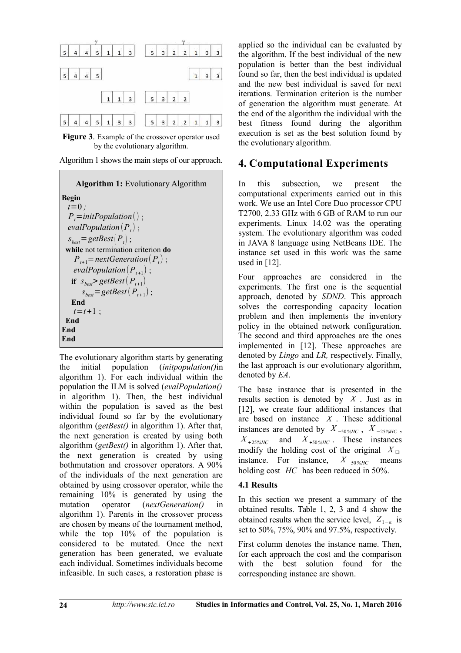

**Figure 3**. Example of the crossover operator used by the evolutionary algorithm.





The evolutionary algorithm starts by generating the initial population (*initpopulation()*in algorithm 1). For each individual within the population the ILM is solved (*evalPopulation()* in algorithm 1). Then, the best individual within the population is saved as the best individual found so far by the evolutionary algorithm (*getBest()* in algorithm 1). After that, the next generation is created by using both algorithm (*getBest()* in algorithm 1). After that, the next generation is created by using bothmutation and crossover operators. A 90% of the individuals of the next generation are obtained by using crossover operator, while the remaining 10% is generated by using the mutation operator (*nextGeneration()* in algorithm 1). Parents in the crossover process are chosen by means of the tournament method, while the top  $10\%$  of the population is considered to be mutated. Once the next generation has been generated, we evaluate each individual. Sometimes individuals become infeasible. In such cases, a restoration phase is

applied so the individual can be evaluated by the algorithm. If the best individual of the new population is better than the best individual found so far, then the best individual is updated and the new best individual is saved for next iterations. Termination criterion is the number of generation the algorithm must generate. At the end of the algorithm the individual with the best fitness found during the algorithm execution is set as the best solution found by the evolutionary algorithm.

# **4. Computational Experiments**

In this subsection, we present the computational experiments carried out in this work. We use an Intel Core Duo processor CPU T2700, 2.33 GHz with 6 GB of RAM to run our experiments. Linux 14.02 was the operating system. The evolutionary algorithm was coded in JAVA 8 language using NetBeans IDE. The instance set used in this work was the same used in [12].

Four approaches are considered in the experiments. The first one is the sequential approach, denoted by *SDND*. This approach solves the corresponding capacity location problem and then implements the inventory policy in the obtained network configuration. The second and third approaches are the ones implemented in [12]. These approaches are denoted by *Lingo* and *LR,* respectively. Finally, the last approach is our evolutionary algorithm, denoted by *EA*.

The base instance that is presented in the results section is denoted by *X* . Just as in [12], we create four additional instances that are based on instance *X* . These additional instances are denoted by  $X_{-50\%HC}$ ,  $X_{-25\%HC}$ ,  $X_{+25\%HC}$  and  $X_{+50\%HC}$ . These instances modify the holding cost of the original  $X_{\Box}$ instance. For instance, *X* <sup>−</sup>50*%HC* means holding cost *HC* has been reduced in 50%.

#### **4.1 Results**

In this section we present a summary of the obtained results. Table 1, 2, 3 and 4 show the obtained results when the service level,  $Z_{1-\alpha}$  is set to 50%, 75%, 90% and 97.5%, respectively.

First column denotes the instance name. Then, for each approach the cost and the comparison with the best solution found for the corresponding instance are shown.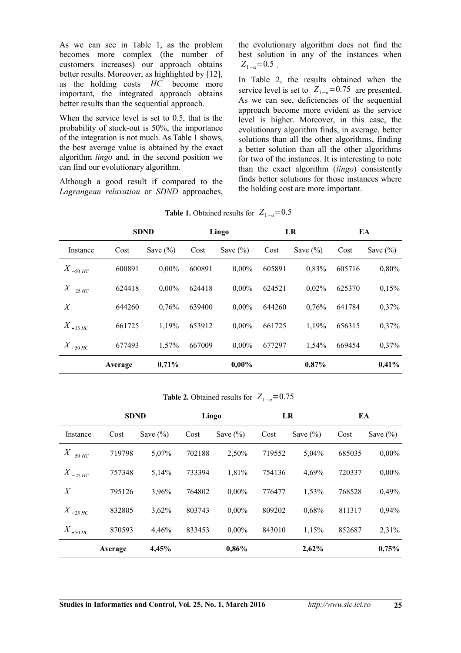As we can see in Table 1, as the problem becomes more complex (the number of customers increases) our approach obtains better results. Moreover, as highlighted by [12], as the holding costs *HC* become more important, the integrated approach obtains better results than the sequential approach.

When the service level is set to 0.5, that is the probability of stock-out is 50%, the importance of the integration is not much. As Table 1 shows, the best average value is obtained by the exact algorithm *lingo* and, in the second position we can find our evolutionary algorithm.

Although a good result if compared to the *Lagrangean relaxation* or *SDND* approaches, the evolutionary algorithm does not find the best solution in any of the instances when  $Z_{1-a}=0.5$ .

In Table 2, the results obtained when the service level is set to  $Z_{1-a}=0.75$  are presented. As we can see, deficiencies of the sequential approach become more evident as the service level is higher. Moreover, in this case, the evolutionary algorithm finds, in average, better solutions than all the other algorithms, finding a better solution than all the other algorithms for two of the instances. It is interesting to note than the exact algorithm (*lingo*) consistently finds better solutions for those instances where the holding cost are more important.

|                       | <b>SDND</b> |              | Lingo  |              | LR     |              | EA     |              |
|-----------------------|-------------|--------------|--------|--------------|--------|--------------|--------|--------------|
| Instance              | Cost        | Save $(\% )$ | Cost   | Save $(\% )$ | Cost   | Save $(\% )$ | Cost   | Save $(\% )$ |
| $X$ <sub>-50</sub> HC | 600891      | $0,00\%$     | 600891 | $0,00\%$     | 605891 | 0,83%        | 605716 | 0,80%        |
| $X$ <sub>-25</sub> HC | 624418      | $0,00\%$     | 624418 | $0,00\%$     | 624521 | 0,02%        | 625370 | 0,15%        |
| X                     | 644260      | 0.76%        | 639400 | $0,00\%$     | 644260 | 0,76%        | 641784 | 0,37%        |
| $X_{+25\,HC}$         | 661725      | 1,19%        | 653912 | $0,00\%$     | 661725 | 1,19%        | 656315 | 0,37%        |
| $X$ <sub>+50</sub> HC | 677493      | 1,57%        | 667009 | $0,00\%$     | 677297 | 1,54%        | 669454 | 0,37%        |
|                       | Average     | 0,71%        |        | $0,00\%$     |        | 0,87%        |        | 0,41%        |

**Table 1.** Obtained results for  $Z_{1-a} = 0.5$ 

**Table 2.** Obtained results for  $Z_{1-\alpha} = 0.75$ 

|                       | <b>SDND</b> |              | Lingo  |              | LR     |              | EA     |              |
|-----------------------|-------------|--------------|--------|--------------|--------|--------------|--------|--------------|
| Instance              | Cost        | Save $(\% )$ | Cost   | Save $(\% )$ | Cost   | Save $(\% )$ | Cost   | Save $(\% )$ |
| $X$ $_{-50}$ HC       | 719798      | 5,07%        | 702188 | 2,50%        | 719552 | 5,04%        | 685035 | $0,00\%$     |
| $X$ <sub>-25</sub> HC | 757348      | 5,14%        | 733394 | 1,81%        | 754136 | 4,69%        | 720337 | $0,00\%$     |
| X                     | 795126      | 3,96%        | 764802 | $0,00\%$     | 776477 | 1,53%        | 768528 | 0,49%        |
| $X_{+25\,HC}$         | 832805      | 3,62%        | 803743 | $0,00\%$     | 809202 | 0,68%        | 811317 | 0,94%        |
| $X$ <sub>+50</sub> HC | 870593      | 4,46%        | 833453 | $0,00\%$     | 843010 | 1,15%        | 852687 | $2,31\%$     |
|                       | Average     | 4,45%        |        | 0,86%        |        | 2,62%        |        | 0,75%        |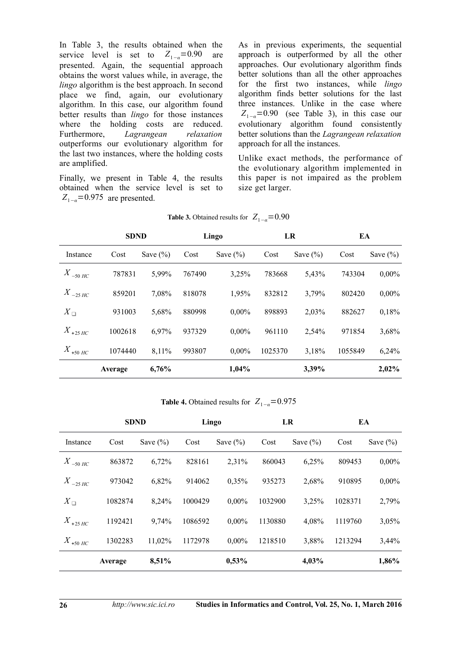In Table 3, the results obtained when the service level is set to  $Z_{1-a}=0.90$  are presented. Again, the sequential approach obtains the worst values while, in average, the *lingo* algorithm is the best approach. In second place we find, again, our evolutionary algorithm. In this case, our algorithm found better results than *lingo* for those instances where the holding costs are reduced. Furthermore, *Lagrangean relaxation* outperforms our evolutionary algorithm for the last two instances, where the holding costs are amplified.

Finally, we present in Table 4, the results obtained when the service level is set to *Z*<sub>1−*α*</sub>=0.975 are presented.

As in previous experiments, the sequential approach is outperformed by all the other approaches. Our evolutionary algorithm finds better solutions than all the other approaches for the first two instances, while *lingo* algorithm finds better solutions for the last three instances. Unlike in the case where  $Z_{1-a}=0.90$  (see Table 3), in this case our evolutionary algorithm found consistently better solutions than the *Lagrangean relaxation* approach for all the instances.

Unlike exact methods, the performance of the evolutionary algorithm implemented in this paper is not impaired as the problem size get larger.

|                       | <b>SDND</b> |              | Lingo  |              | LR      |              | EA      |              |
|-----------------------|-------------|--------------|--------|--------------|---------|--------------|---------|--------------|
| Instance              | Cost        | Save $(\% )$ | Cost   | Save $(\% )$ | Cost    | Save $(\% )$ | Cost    | Save $(\% )$ |
| $X$ $_{-50}$ HC       | 787831      | 5,99%        | 767490 | 3,25%        | 783668  | 5,43%        | 743304  | $0,00\%$     |
| $X$ <sub>-25</sub> HC | 859201      | 7,08%        | 818078 | 1,95%        | 832812  | 3,79%        | 802420  | $0,00\%$     |
| $X_{\square}$         | 931003      | 5,68%        | 880998 | $0,00\%$     | 898893  | 2,03%        | 882627  | 0,18%        |
| $X_{+25\,HC}$         | 1002618     | 6,97%        | 937329 | $0,00\%$     | 961110  | 2,54%        | 971854  | 3,68%        |
| $X$ <sub>+50</sub> HC | 1074440     | 8,11%        | 993807 | $0,00\%$     | 1025370 | 3,18%        | 1055849 | 6,24%        |
|                       | Average     | 6,76%        |        | $1,04\%$     |         | 3,39%        |         | 2,02%        |

| <b>Table 3.</b> Obtained results for $Z_{1-a} = 0.90$ |  |
|-------------------------------------------------------|--|
|-------------------------------------------------------|--|

**Table 4.** Obtained results for  $Z_{1-a} = 0.975$ 

|                       | <b>SDND</b> |              | Lingo   |              | LR      |              | EA      |              |
|-----------------------|-------------|--------------|---------|--------------|---------|--------------|---------|--------------|
| Instance              | Cost        | Save $(\% )$ | Cost    | Save $(\% )$ | Cost    | Save $(\% )$ | Cost    | Save $(\% )$ |
| $X$ $_{-50}$ HC       | 863872      | 6,72%        | 828161  | 2,31%        | 860043  | 6,25%        | 809453  | $0,00\%$     |
| $X$ <sub>-25</sub> HC | 973042      | 6,82%        | 914062  | 0,35%        | 935273  | 2,68%        | 910895  | $0,00\%$     |
| $X\Box$               | 1082874     | 8,24%        | 1000429 | $0,00\%$     | 1032900 | 3,25%        | 1028371 | 2,79%        |
| $X_{+25\,HC}$         | 1192421     | 9,74%        | 1086592 | $0,00\%$     | 1130880 | 4,08%        | 1119760 | 3,05%        |
| $X$ <sub>+50</sub> HC | 1302283     | 11,02%       | 1172978 | $0,00\%$     | 1218510 | 3,88%        | 1213294 | 3,44%        |
|                       | Average     | 8,51%        |         | 0,53%        |         | 4,03%        |         | 1,86%        |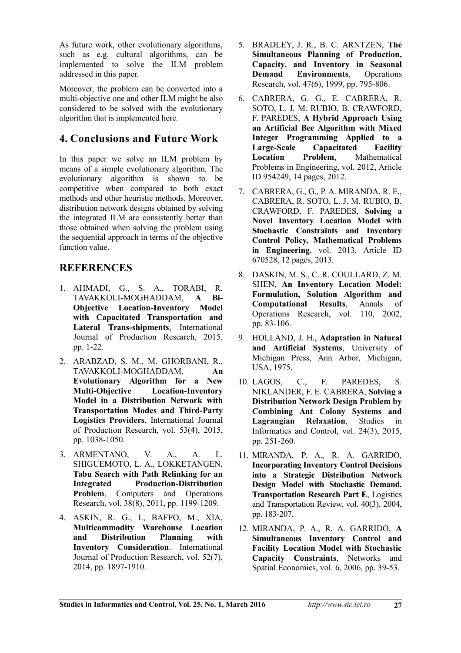As future work, other evolutionary algorithms, such as e.g. cultural algorithms, can be implemented to solve the ILM problem addressed in this paper.

Moreover, the problem can be converted into a multi-objective one and other ILM might be also considered to be solved with the evolutionary algorithm that is implemented here.

# **4. Conclusions and Future Work**

In this paper we solve an ILM problem by means of a simple evolutionary algorithm. The evolutionary algorithm is shown to be competitive when compared to both exact methods and other heuristic methods. Moreover, distribution network designs obtained by solving the integrated ILM are consistently better than those obtained when solving the problem using the sequential approach in terms of the objective function value.

# **REFERENCES**

- 1. AHMADI, G., S. A., TORABI, R. TAVAKKOLI-MOGHADDAM, **A Bi-Objective Location-Inventory Model with Capacitated Transportation and Lateral Trans-shipments**, International Journal of Production Research, 2015, pp. 1-22.
- 2. ARABZAD, S. M., M. GHORBANI, R., TAVAKKOLI-MOGHADDAM, **An Evolutionary Algorithm for a New Multi-Objective Location-Inventory Model in a Distribution Network with Transportation Modes and Third-Party Logistics Providers**, International Journal of Production Research, vol. 53(4), 2015, pp. 1038-1050.
- 3. ARMENTANO, V. A., A. L. SHIGUEMOTO, L. A., LOKKETANGEN, **Tabu Search with Path Relinking for an Integrated Production-Distribution Problem**, Computers and Operations Research, vol. 38(8), 2011, pp. 1199-1209.
- 4. ASKIN, R. G., I., BAFFO, M., XIA, **Multicommodity Warehouse Location and Distribution Planning with Inventory Consideration**. International Journal of Production Research, vol. 52(7), 2014, pp. 1897-1910.
- 5. BRADLEY, J. R., B. C. ARNTZEN, **The Simultaneous Planning of Production, Capacity, and Inventory in Seasonal Demand Environments**, Operations Research, vol. 47(6), 1999, pp. 795-806.
- 6. CABRERA, G. G., E. CABRERA, R. SOTO, L. J. M. RUBIO, B. CRAWFORD, F. PAREDES, **A Hybrid Approach Using an Artificial Bee Algorithm with Mixed Integer Programming Applied to a Large-Scale Capacitated Facility Mathematical** Problems in Engineering, vol. 2012, Article ID 954249, 14 pages, 2012.
- 7. CABRERA, G., G., P. A. MIRANDA, R. E., CABRERA, R. SOTO, L. J. M. RUBIO, B. CRAWFORD, F. PAREDES, **Solving a Novel Inventory Location Model with Stochastic Constraints and Inventory Control Policy, Mathematical Problems in Engineering**, vol. 2013, Article ID 670528, 12 pages, 2013.
- 8. DASKIN, M. S., C. R. COULLARD, Z. M. SHEN, **An Inventory Location Model: Formulation, Solution Algorithm and Computational Results**, Annals of Operations Research, vol. 110, 2002, pp. 83-106.
- 9. HOLLAND, J. H., **Adaptation in Natural and Artificial Systems**, University of Michigan Press, Ann Arbor, Michigan, USA, 1975.
- 10. LAGOS, C., F. PAREDES, S. NIKLANDER, F. E. CABRERA, **Solving a Distribution Network Design Problem by Combining Ant Colony Systems and Lagrangian Relaxation**, Studies in Informatics and Control, vol. 24(3), 2015, pp. 251-260.
- 11. MIRANDA, P. A., R. A. GARRIDO, **Incorporating Inventory Control Decisions into a Strategic Distribution Network Design Model with Stochastic Demand. Transportation Research Part E**, Logistics and Transportation Review, vol. 40(3), 2004, pp. 183-207.
- 12. MIRANDA, P. A., R. A. GARRIDO, **A Simultaneous Inventory Control and Facility Location Model with Stochastic Capacity Constraints**, Networks and Spatial Economics, vol. 6, 2006, pp. 39-53.